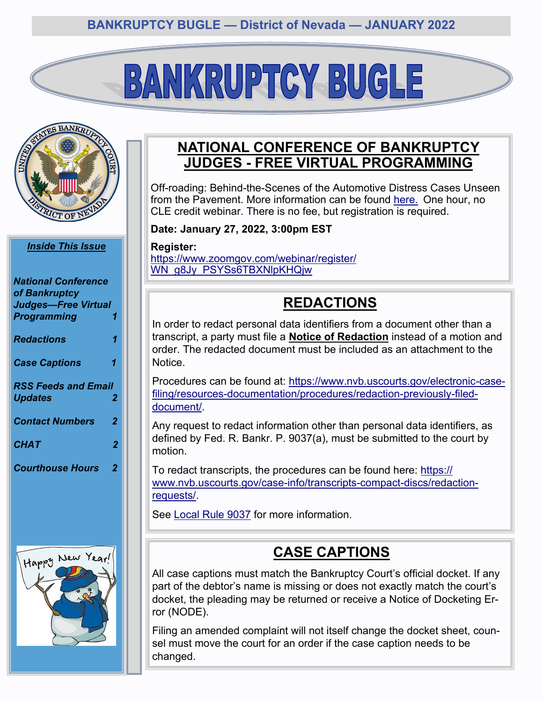# **BANKRUPTCY BUGLE**



#### *Inside This Issue*

| <b>National Conference</b><br>of Bankruptcy<br><b>Judges-Free Virtual</b> |   |
|---------------------------------------------------------------------------|---|
| <b>Programming</b>                                                        | 1 |
| <b>Redactions</b>                                                         | 1 |
| <b>Case Captions</b>                                                      | 1 |
| <b>RSS Feeds and Email</b><br><b>Updates</b>                              | 2 |
| <b>Contact Numbers</b>                                                    | 2 |
| <b>CHAT</b>                                                               | 2 |
| <b>Courthouse Hours</b>                                                   | 2 |



## **NATIONAL CONFERENCE OF BANKRUPTCY JUDGES - FREE VIRTUAL PROGRAMMING**

Off-roading: Behind-the-Scenes of the Automotive Distress Cases Unseen from the Pavement. More information can be found [here.](https://www.nvb.uscourts.gov/news-rss/announcements/2022/0106-ncbj/) One hour, no CLE credit webinar. There is no fee, but registration is required.

**Date: January 27, 2022, 3:00pm EST** 

**Register:** [https://www.zoomgov.com/webinar/register/](https://www.zoomgov.com/webinar/register/WN_g8Jy_PSYSs6TBXNlpKHQjw) [WN\\_g8Jy\\_PSYSs6TBXNlpKHQjw](https://www.zoomgov.com/webinar/register/WN_g8Jy_PSYSs6TBXNlpKHQjw)

# **REDACTIONS**

In order to redact personal data identifiers from a document other than a transcript, a party must file a **Notice of Redaction** instead of a motion and order. The redacted document must be included as an attachment to the Notice.

Procedures can be found at: [https://www.nvb.uscourts.gov/electronic](https://www.nvb.uscourts.gov/electronic-case-filing/resources-documentation/procedures/redaction-previously-filed-document/)-casefiling/resources-[documentation/procedures/redaction](https://www.nvb.uscourts.gov/electronic-case-filing/resources-documentation/procedures/redaction-previously-filed-document/)-previously-filed[document/.](https://www.nvb.uscourts.gov/electronic-case-filing/resources-documentation/procedures/redaction-previously-filed-document/)

Any request to redact information other than personal data identifiers, as defined by Fed. R. Bankr. P. 9037(a), must be submitted to the court by motion.

To redact transcripts, the procedures can be found here: [https://](https://www.nvb.uscourts.gov/case-info/transcripts-compact-discs/redaction-requests/) [www.nvb.uscourts.gov/case](https://www.nvb.uscourts.gov/case-info/transcripts-compact-discs/redaction-requests/)-info/transcripts-compact-discs/redaction[requests/.](https://www.nvb.uscourts.gov/case-info/transcripts-compact-discs/redaction-requests/)

See [Local Rule 9037](https://www.nvb.uscourts.gov/rules-forms/rules/local-rules/9037/) for more information.

## **CASE CAPTIONS**

All case captions must match the Bankruptcy Court's official docket. If any part of the debtor's name is missing or does not exactly match the court's docket, the pleading may be returned or receive a Notice of Docketing Error (NODE).

Filing an amended complaint will not itself change the docket sheet, counsel must move the court for an order if the case caption needs to be changed.